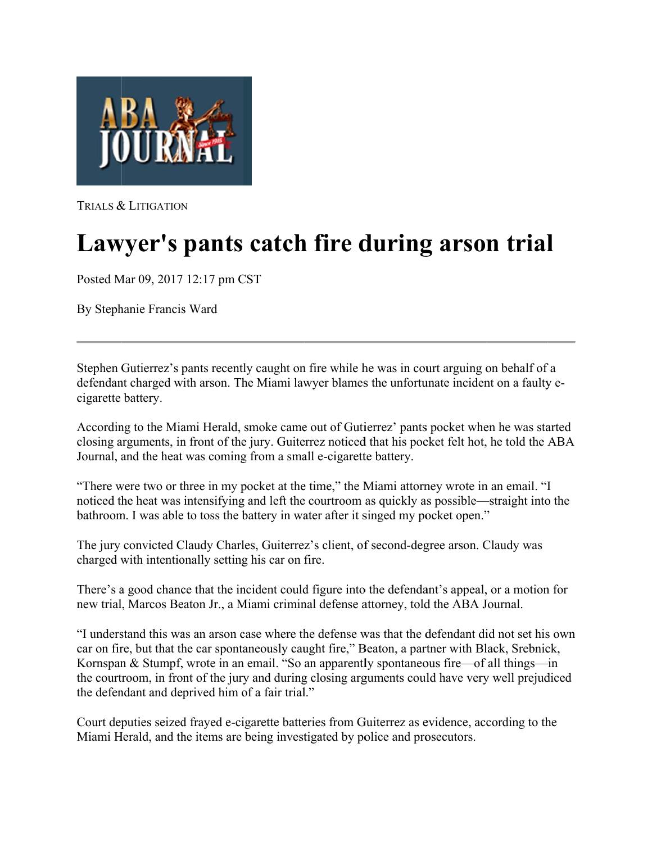

TRIALS & LITIGATION

## Lawyer's pants catch fire during arson trial

Posted M Mar 09, 2017 12:17 pm C CST

By Steph hanie Francis s Ward

Stephen Gutierrez's pants recently caught on fire while he was in court arguing on behalf of a defendant charged with arson. The Miami lawyer blames the unfortunate incident on a faulty ecigarette battery.

According to the Miami Herald, smoke came out of Gutierrez' pants pocket when he was started closing arguments, in front of the jury. Guiterrez noticed that his pocket felt hot, he told the ABA Journal, and the heat was coming from a small e-cigarette battery.

"There were two or three in my pocket at the time," the Miami attorney wrote in an email. "I "There were two or three in my pocket at the time," the Miami attorney wrote in an email. "I<br>noticed the heat was intensifying and left the courtroom as quickly as possible—straight into the bathroom. I was able to toss the battery in water after it singed my pocket open."

bathroom. I was able to toss the battery in water after it singed my pocket open."<br>The jury convicted Claudy Charles, Guiterrez's client, of second-degree arson. Claudy was charged with intentionally setting his car on fire.

There's a good chance that the incident could figure into the defendant's appeal, or a motion for new trial, Marcos Beaton Jr., a Miami criminal defense attorney, told the ABA Journal.

"I understand this was an arson case where the defense was that the defendant did not set his own car on fire, but that the car spontaneously caught fire," Beaton, a partner with Black, Srebnick, Kornspan & Stumpf, wrote in an email. "So an apparently spontaneous fire—of all things—in the courtroom, in front of the jury and during closing arguments could have very well prejudiced the defendant and deprived him of a fair trial."

Court deputies seized frayed e-cigarette batteries from Guiterrez as evidence, according to the Miami Herald, and the items are being investigated by police and prosecutors.